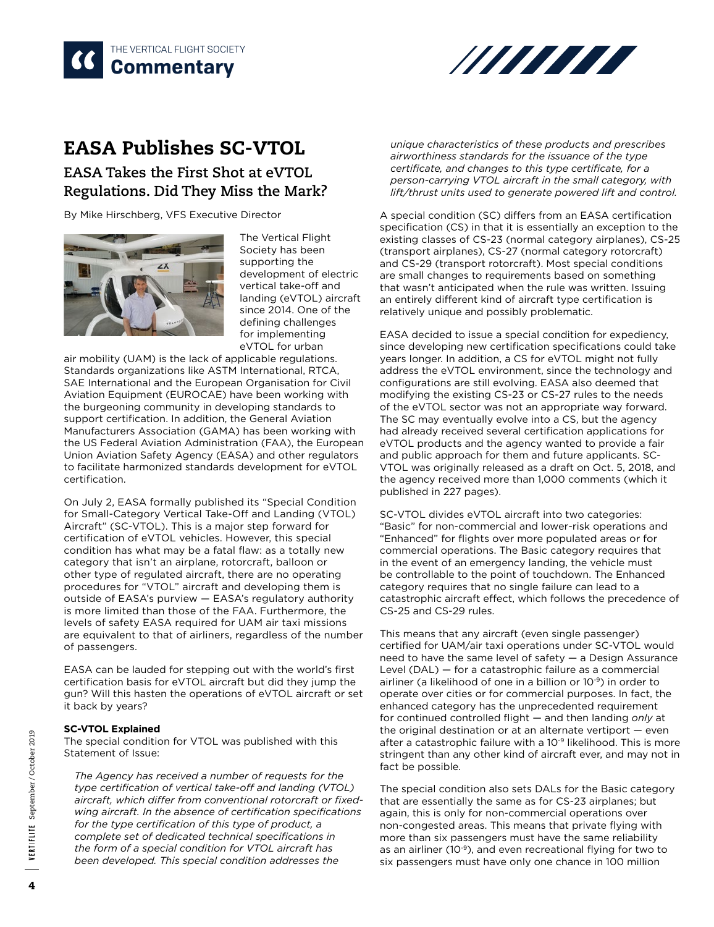

# EASA Publishes SC-VTOL

# **EASA Takes the First Shot at eVTOL Regulations. Did They Miss the Mark?**

By Mike Hirschberg, VFS Executive Director



The Vertical Flight Society has been supporting the development of electric vertical take-off and landing (eVTOL) aircraft since 2014. One of the defining challenges for implementing eVTOL for urban

air mobility (UAM) is the lack of applicable regulations. Standards organizations like ASTM International, RTCA, SAE International and the European Organisation for Civil Aviation Equipment (EUROCAE) have been working with the burgeoning community in developing standards to support certification. In addition, the General Aviation Manufacturers Association (GAMA) has been working with the US Federal Aviation Administration (FAA), the European Union Aviation Safety Agency (EASA) and other regulators to facilitate harmonized standards development for eVTOL certification.

On July 2, EASA formally published its "Special Condition for Small-Category Vertical Take-Off and Landing (VTOL) Aircraft" (SC-VTOL). This is a major step forward for certification of eVTOL vehicles. However, this special condition has what may be a fatal flaw: as a totally new category that isn't an airplane, rotorcraft, balloon or other type of regulated aircraft, there are no operating procedures for "VTOL" aircraft and developing them is outside of EASA's purview — EASA's regulatory authority is more limited than those of the FAA. Furthermore, the levels of safety EASA required for UAM air taxi missions are equivalent to that of airliners, regardless of the number of passengers.

EASA can be lauded for stepping out with the world's first certification basis for eVTOL aircraft but did they jump the gun? Will this hasten the operations of eVTOL aircraft or set it back by years?

## **SC-VTOL Explained**

The special condition for VTOL was published with this Statement of Issue:

*The Agency has received a number of requests for the type certification of vertical take-off and landing (VTOL) aircraft, which differ from conventional rotorcraft or fixedwing aircraft. In the absence of certification specifications for the type certification of this type of product, a complete set of dedicated technical specifications in the form of a special condition for VTOL aircraft has been developed. This special condition addresses the* 

*unique characteristics of these products and prescribes airworthiness standards for the issuance of the type certificate, and changes to this type certificate, for a person-carrying VTOL aircraft in the small category, with lift/thrust units used to generate powered lift and control.*

A special condition (SC) differs from an EASA certification specification (CS) in that it is essentially an exception to the existing classes of CS-23 (normal category airplanes), CS-25 (transport airplanes), CS-27 (normal category rotorcraft) and CS-29 (transport rotorcraft). Most special conditions are small changes to requirements based on something that wasn't anticipated when the rule was written. Issuing an entirely different kind of aircraft type certification is relatively unique and possibly problematic.

EASA decided to issue a special condition for expediency, since developing new certification specifications could take years longer. In addition, a CS for eVTOL might not fully address the eVTOL environment, since the technology and configurations are still evolving. EASA also deemed that modifying the existing CS-23 or CS-27 rules to the needs of the eVTOL sector was not an appropriate way forward. The SC may eventually evolve into a CS, but the agency had already received several certification applications for eVTOL products and the agency wanted to provide a fair and public approach for them and future applicants. SC-VTOL was originally released as a draft on Oct. 5, 2018, and the agency received more than 1,000 comments (which it published in 227 pages).

SC-VTOL divides eVTOL aircraft into two categories: "Basic" for non-commercial and lower-risk operations and "Enhanced" for flights over more populated areas or for commercial operations. The Basic category requires that in the event of an emergency landing, the vehicle must be controllable to the point of touchdown. The Enhanced category requires that no single failure can lead to a catastrophic aircraft effect, which follows the precedence of CS-25 and CS-29 rules.

This means that any aircraft (even single passenger) certified for UAM/air taxi operations under SC-VTOL would need to have the same level of safety — a Design Assurance Level (DAL) — for a catastrophic failure as a commercial airliner (a likelihood of one in a billion or 10-9) in order to operate over cities or for commercial purposes. In fact, the enhanced category has the unprecedented requirement for continued controlled flight — and then landing *only* at the original destination or at an alternate vertiport — even after a catastrophic failure with a 10<sup>-9</sup> likelihood. This is more stringent than any other kind of aircraft ever, and may not in fact be possible.

The special condition also sets DALs for the Basic category that are essentially the same as for CS-23 airplanes; but again, this is only for non-commercial operations over non-congested areas. This means that private flying with more than six passengers must have the same reliability as an airliner (10-9), and even recreational flying for two to six passengers must have only one chance in 100 million